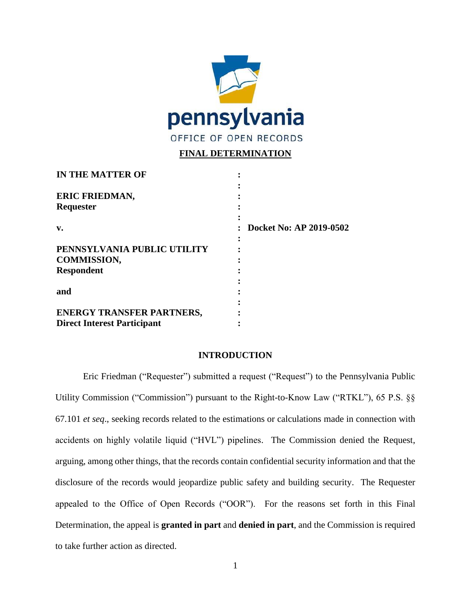

## **FINAL DETERMINATION**

| <b>IN THE MATTER OF</b>                 |                         |
|-----------------------------------------|-------------------------|
| <b>ERIC FRIEDMAN,</b>                   |                         |
| Requester                               |                         |
| v.                                      | Docket No: AP 2019-0502 |
| PENNSYLVANIA PUBLIC UTILITY             |                         |
| <b>COMMISSION,</b><br><b>Respondent</b> |                         |
|                                         |                         |
| and                                     |                         |
|                                         |                         |
| <b>ENERGY TRANSFER PARTNERS,</b>        |                         |
| <b>Direct Interest Participant</b>      |                         |

### **INTRODUCTION**

Eric Friedman ("Requester") submitted a request ("Request") to the Pennsylvania Public Utility Commission ("Commission") pursuant to the Right-to-Know Law ("RTKL"), 65 P.S. §§ 67.101 *et seq*., seeking records related to the estimations or calculations made in connection with accidents on highly volatile liquid ("HVL") pipelines. The Commission denied the Request, arguing, among other things, that the records contain confidential security information and that the disclosure of the records would jeopardize public safety and building security. The Requester appealed to the Office of Open Records ("OOR"). For the reasons set forth in this Final Determination, the appeal is **granted in part** and **denied in part**, and the Commission is required to take further action as directed.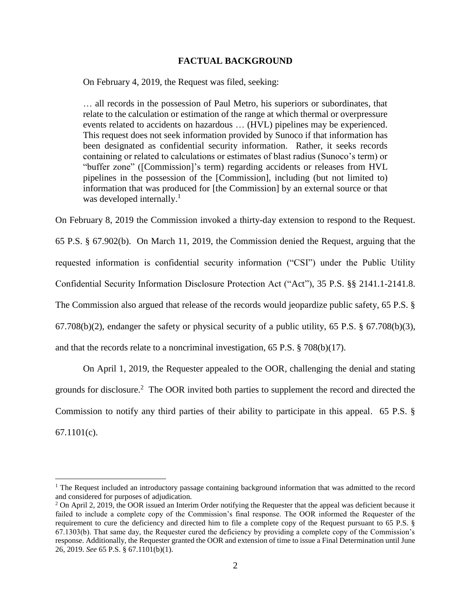#### **FACTUAL BACKGROUND**

On February 4, 2019, the Request was filed, seeking:

… all records in the possession of Paul Metro, his superiors or subordinates, that relate to the calculation or estimation of the range at which thermal or overpressure events related to accidents on hazardous … (HVL) pipelines may be experienced. This request does not seek information provided by Sunoco if that information has been designated as confidential security information. Rather, it seeks records containing or related to calculations or estimates of blast radius (Sunoco's term) or "buffer zone" ([Commission]'s term) regarding accidents or releases from HVL pipelines in the possession of the [Commission], including (but not limited to) information that was produced for [the Commission] by an external source or that was developed internally.<sup>1</sup>

On February 8, 2019 the Commission invoked a thirty-day extension to respond to the Request. 65 P.S. § 67.902(b). On March 11, 2019, the Commission denied the Request, arguing that the requested information is confidential security information ("CSI") under the Public Utility Confidential Security Information Disclosure Protection Act ("Act"), 35 P.S. §§ 2141.1-2141.8. The Commission also argued that release of the records would jeopardize public safety, 65 P.S. § 67.708(b)(2), endanger the safety or physical security of a public utility, 65 P.S. § 67.708(b)(3), and that the records relate to a noncriminal investigation, 65 P.S. § 708(b)(17).

On April 1, 2019, the Requester appealed to the OOR, challenging the denial and stating grounds for disclosure.<sup>2</sup> The OOR invited both parties to supplement the record and directed the Commission to notify any third parties of their ability to participate in this appeal. 65 P.S. § 67.1101(c).

<sup>&</sup>lt;sup>1</sup> The Request included an introductory passage containing background information that was admitted to the record and considered for purposes of adjudication.

<sup>&</sup>lt;sup>2</sup> On April 2, 2019, the OOR issued an Interim Order notifying the Requester that the appeal was deficient because it failed to include a complete copy of the Commission's final response. The OOR informed the Requester of the requirement to cure the deficiency and directed him to file a complete copy of the Request pursuant to 65 P.S. § 67.1303(b). That same day, the Requester cured the deficiency by providing a complete copy of the Commission's response. Additionally, the Requester granted the OOR and extension of time to issue a Final Determination until June 26, 2019. *See* 65 P.S. § 67.1101(b)(1).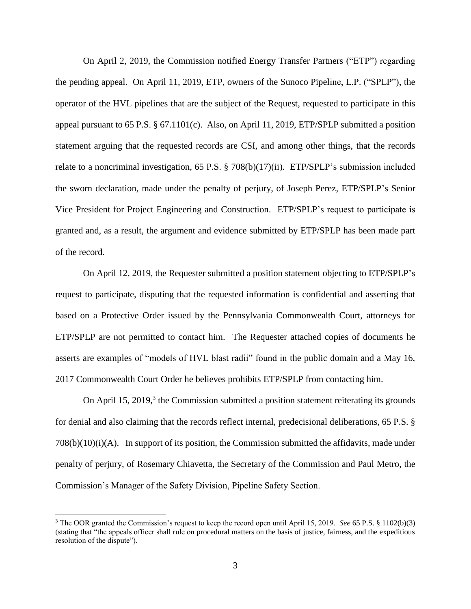On April 2, 2019, the Commission notified Energy Transfer Partners ("ETP") regarding the pending appeal. On April 11, 2019, ETP, owners of the Sunoco Pipeline, L.P. ("SPLP"), the operator of the HVL pipelines that are the subject of the Request, requested to participate in this appeal pursuant to 65 P.S. § 67.1101(c). Also, on April 11, 2019, ETP/SPLP submitted a position statement arguing that the requested records are CSI, and among other things, that the records relate to a noncriminal investigation, 65 P.S. § 708(b)(17)(ii). ETP/SPLP's submission included the sworn declaration, made under the penalty of perjury, of Joseph Perez, ETP/SPLP's Senior Vice President for Project Engineering and Construction. ETP/SPLP's request to participate is granted and, as a result, the argument and evidence submitted by ETP/SPLP has been made part of the record.

On April 12, 2019, the Requester submitted a position statement objecting to ETP/SPLP's request to participate, disputing that the requested information is confidential and asserting that based on a Protective Order issued by the Pennsylvania Commonwealth Court, attorneys for ETP/SPLP are not permitted to contact him. The Requester attached copies of documents he asserts are examples of "models of HVL blast radii" found in the public domain and a May 16, 2017 Commonwealth Court Order he believes prohibits ETP/SPLP from contacting him.

On April 15, 2019,<sup>3</sup> the Commission submitted a position statement reiterating its grounds for denial and also claiming that the records reflect internal, predecisional deliberations, 65 P.S. §  $708(b)(10)(i)(A)$ . In support of its position, the Commission submitted the affidavits, made under penalty of perjury, of Rosemary Chiavetta, the Secretary of the Commission and Paul Metro, the Commission's Manager of the Safety Division, Pipeline Safety Section.

<sup>3</sup> The OOR granted the Commission's request to keep the record open until April 15, 2019. *See* 65 P.S. § 1102(b)(3) (stating that "the appeals officer shall rule on procedural matters on the basis of justice, fairness, and the expeditious resolution of the dispute").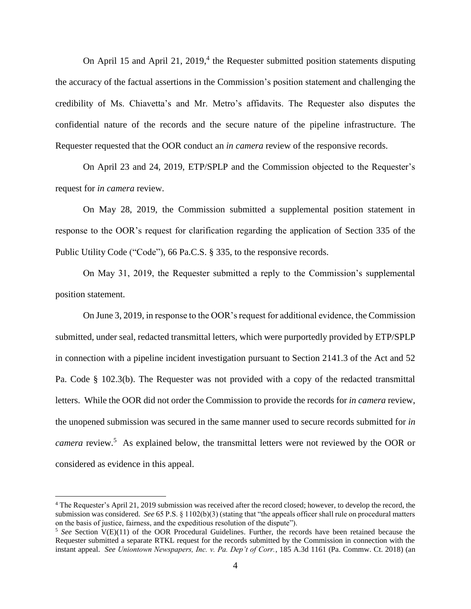On April 15 and April 21, 2019,<sup>4</sup> the Requester submitted position statements disputing the accuracy of the factual assertions in the Commission's position statement and challenging the credibility of Ms. Chiavetta's and Mr. Metro's affidavits. The Requester also disputes the confidential nature of the records and the secure nature of the pipeline infrastructure. The Requester requested that the OOR conduct an *in camera* review of the responsive records.

On April 23 and 24, 2019, ETP/SPLP and the Commission objected to the Requester's request for *in camera* review.

On May 28, 2019, the Commission submitted a supplemental position statement in response to the OOR's request for clarification regarding the application of Section 335 of the Public Utility Code ("Code"), 66 Pa.C.S. § 335, to the responsive records.

On May 31, 2019, the Requester submitted a reply to the Commission's supplemental position statement.

On June 3, 2019, in response to the OOR's request for additional evidence, the Commission submitted, under seal, redacted transmittal letters, which were purportedly provided by ETP/SPLP in connection with a pipeline incident investigation pursuant to Section 2141.3 of the Act and 52 Pa. Code § 102.3(b). The Requester was not provided with a copy of the redacted transmittal letters. While the OOR did not order the Commission to provide the records for *in camera* review, the unopened submission was secured in the same manner used to secure records submitted for *in*  camera review.<sup>5</sup> As explained below, the transmittal letters were not reviewed by the OOR or considered as evidence in this appeal.

<sup>4</sup> The Requester's April 21, 2019 submission was received after the record closed; however, to develop the record, the submission was considered. *See* 65 P.S. § 1102(b)(3) (stating that "the appeals officer shall rule on procedural matters on the basis of justice, fairness, and the expeditious resolution of the dispute").

<sup>&</sup>lt;sup>5</sup> See Section V(E)(11) of the OOR Procedural Guidelines. Further, the records have been retained because the Requester submitted a separate RTKL request for the records submitted by the Commission in connection with the instant appeal. *See Uniontown Newspapers, Inc. v. Pa. Dep't of Corr.*, 185 A.3d 1161 (Pa. Commw. Ct. 2018) (an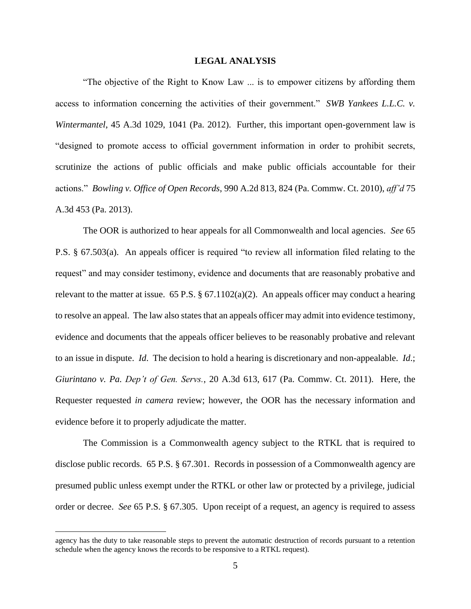#### **LEGAL ANALYSIS**

"The objective of the Right to Know Law ... is to empower citizens by affording them access to information concerning the activities of their government." *SWB Yankees L.L.C. v. Wintermantel*, 45 A.3d 1029, 1041 (Pa. 2012). Further, this important open-government law is "designed to promote access to official government information in order to prohibit secrets, scrutinize the actions of public officials and make public officials accountable for their actions." *Bowling v. Office of Open Records*, 990 A.2d 813, 824 (Pa. Commw. Ct. 2010), *aff'd* 75 A.3d 453 (Pa. 2013).

The OOR is authorized to hear appeals for all Commonwealth and local agencies. *See* 65 P.S. § 67.503(a). An appeals officer is required "to review all information filed relating to the request" and may consider testimony, evidence and documents that are reasonably probative and relevant to the matter at issue. 65 P.S.  $\S 67.1102(a)(2)$ . An appeals officer may conduct a hearing to resolve an appeal. The law also states that an appeals officer may admit into evidence testimony, evidence and documents that the appeals officer believes to be reasonably probative and relevant to an issue in dispute. *Id*. The decision to hold a hearing is discretionary and non-appealable. *Id*.; *Giurintano v. Pa. Dep't of Gen. Servs.*, 20 A.3d 613, 617 (Pa. Commw. Ct. 2011). Here, the Requester requested *in camera* review; however, the OOR has the necessary information and evidence before it to properly adjudicate the matter.

The Commission is a Commonwealth agency subject to the RTKL that is required to disclose public records. 65 P.S. § 67.301. Records in possession of a Commonwealth agency are presumed public unless exempt under the RTKL or other law or protected by a privilege, judicial order or decree. *See* 65 P.S. § 67.305. Upon receipt of a request, an agency is required to assess

agency has the duty to take reasonable steps to prevent the automatic destruction of records pursuant to a retention schedule when the agency knows the records to be responsive to a RTKL request).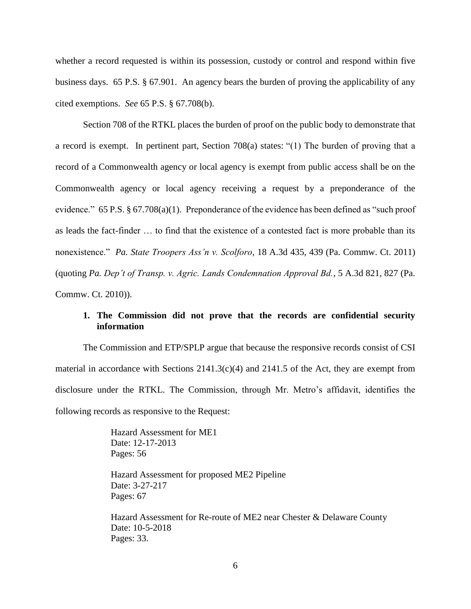whether a record requested is within its possession, custody or control and respond within five business days. 65 P.S. § 67.901. An agency bears the burden of proving the applicability of any cited exemptions. *See* 65 P.S. § 67.708(b).

Section 708 of the RTKL places the burden of proof on the public body to demonstrate that a record is exempt. In pertinent part, Section 708(a) states: "(1) The burden of proving that a record of a Commonwealth agency or local agency is exempt from public access shall be on the Commonwealth agency or local agency receiving a request by a preponderance of the evidence." 65 P.S.  $\S 67.708(a)(1)$ . Preponderance of the evidence has been defined as "such proof as leads the fact-finder … to find that the existence of a contested fact is more probable than its nonexistence." *Pa. State Troopers Ass'n v. Scolforo*, 18 A.3d 435, 439 (Pa. Commw. Ct. 2011) (quoting *Pa. Dep't of Transp. v. Agric. Lands Condemnation Approval Bd.*, 5 A.3d 821, 827 (Pa. Commw. Ct. 2010)).

#### **1. The Commission did not prove that the records are confidential security information**

The Commission and ETP/SPLP argue that because the responsive records consist of CSI material in accordance with Sections  $2141.3(c)(4)$  and  $2141.5$  of the Act, they are exempt from disclosure under the RTKL. The Commission, through Mr. Metro's affidavit, identifies the following records as responsive to the Request:

> Hazard Assessment for ME1 Date: 12-17-2013 Pages: 56

Hazard Assessment for proposed ME2 Pipeline Date: 3-27-217 Pages: 67

Hazard Assessment for Re-route of ME2 near Chester & Delaware County Date: 10-5-2018 Pages: 33.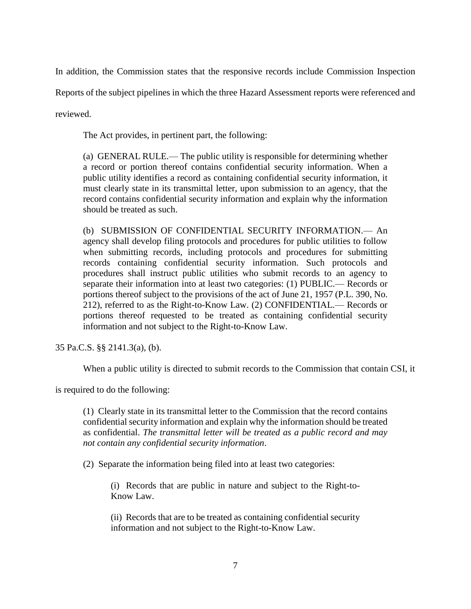In addition, the Commission states that the responsive records include Commission Inspection

Reports of the subject pipelines in which the three Hazard Assessment reports were referenced and

reviewed.

The Act provides, in pertinent part, the following:

(a) GENERAL RULE.— The public utility is responsible for determining whether a record or portion thereof contains confidential security information. When a public utility identifies a record as containing confidential security information, it must clearly state in its transmittal letter, upon submission to an agency, that the record contains confidential security information and explain why the information should be treated as such.

(b) SUBMISSION OF CONFIDENTIAL SECURITY INFORMATION.— An agency shall develop filing protocols and procedures for public utilities to follow when submitting records, including protocols and procedures for submitting records containing confidential security information. Such protocols and procedures shall instruct public utilities who submit records to an agency to separate their information into at least two categories: (1) PUBLIC.— Records or portions thereof subject to the provisions of the act of June 21, 1957 (P.L. 390, No. 212), referred to as the Right-to-Know Law. (2) CONFIDENTIAL.— Records or portions thereof requested to be treated as containing confidential security information and not subject to the Right-to-Know Law.

35 Pa.C.S. §§ 2141.3(a), (b).

When a public utility is directed to submit records to the Commission that contain CSI, it

is required to do the following:

(1) Clearly state in its transmittal letter to the Commission that the record contains confidential security information and explain why the information should be treated as confidential. *The transmittal letter will be treated as a public record and may not contain any confidential security information*.

(2) Separate the information being filed into at least two categories:

(i) Records that are public in nature and subject to the Right-to-Know Law.

(ii) Records that are to be treated as containing confidential security information and not subject to the Right-to-Know Law.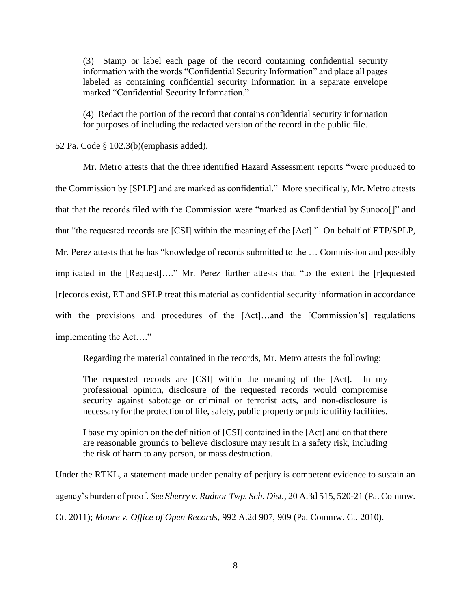(3) Stamp or label each page of the record containing confidential security information with the words "Confidential Security Information" and place all pages labeled as containing confidential security information in a separate envelope marked "Confidential Security Information."

(4) Redact the portion of the record that contains confidential security information for purposes of including the redacted version of the record in the public file.

52 Pa. Code § 102.3(b)(emphasis added).

Mr. Metro attests that the three identified Hazard Assessment reports "were produced to the Commission by [SPLP] and are marked as confidential." More specifically, Mr. Metro attests that that the records filed with the Commission were "marked as Confidential by Sunoco[]" and that "the requested records are [CSI] within the meaning of the [Act]." On behalf of ETP/SPLP, Mr. Perez attests that he has "knowledge of records submitted to the … Commission and possibly implicated in the [Request]…." Mr. Perez further attests that "to the extent the [r]equested [r]ecords exist, ET and SPLP treat this material as confidential security information in accordance with the provisions and procedures of the [Act]…and the [Commission's] regulations implementing the Act…."

Regarding the material contained in the records, Mr. Metro attests the following:

The requested records are [CSI] within the meaning of the [Act]. In my professional opinion, disclosure of the requested records would compromise security against sabotage or criminal or terrorist acts, and non-disclosure is necessary for the protection of life, safety, public property or public utility facilities.

I base my opinion on the definition of [CSI] contained in the [Act] and on that there are reasonable grounds to believe disclosure may result in a safety risk, including the risk of harm to any person, or mass destruction.

Under the RTKL, a statement made under penalty of perjury is competent evidence to sustain an agency's burden of proof. *See Sherry v. Radnor Twp. Sch. Dist.*, 20 A.3d 515, 520-21 (Pa. Commw. Ct. 2011); *Moore v. Office of Open Records*, 992 A.2d 907, 909 (Pa. Commw. Ct. 2010).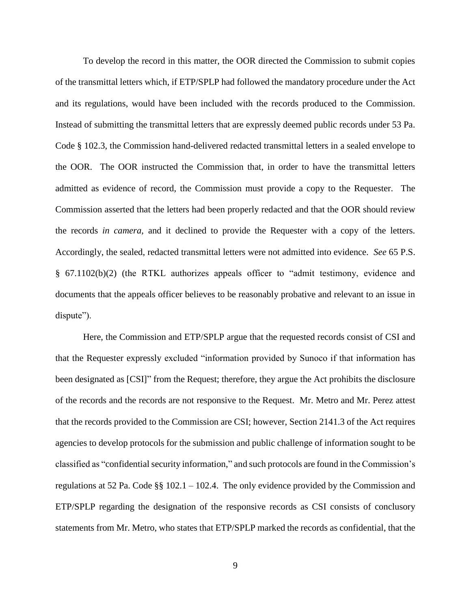To develop the record in this matter, the OOR directed the Commission to submit copies of the transmittal letters which, if ETP/SPLP had followed the mandatory procedure under the Act and its regulations, would have been included with the records produced to the Commission. Instead of submitting the transmittal letters that are expressly deemed public records under 53 Pa. Code § 102.3, the Commission hand-delivered redacted transmittal letters in a sealed envelope to the OOR. The OOR instructed the Commission that, in order to have the transmittal letters admitted as evidence of record, the Commission must provide a copy to the Requester. The Commission asserted that the letters had been properly redacted and that the OOR should review the records *in camera*, and it declined to provide the Requester with a copy of the letters. Accordingly, the sealed, redacted transmittal letters were not admitted into evidence. *See* 65 P.S. § 67.1102(b)(2) (the RTKL authorizes appeals officer to "admit testimony, evidence and documents that the appeals officer believes to be reasonably probative and relevant to an issue in dispute").

Here, the Commission and ETP/SPLP argue that the requested records consist of CSI and that the Requester expressly excluded "information provided by Sunoco if that information has been designated as [CSI]" from the Request; therefore, they argue the Act prohibits the disclosure of the records and the records are not responsive to the Request. Mr. Metro and Mr. Perez attest that the records provided to the Commission are CSI; however, Section 2141.3 of the Act requires agencies to develop protocols for the submission and public challenge of information sought to be classified as "confidential security information," and such protocols are found in the Commission's regulations at 52 Pa. Code §§ 102.1 – 102.4. The only evidence provided by the Commission and ETP/SPLP regarding the designation of the responsive records as CSI consists of conclusory statements from Mr. Metro, who states that ETP/SPLP marked the records as confidential, that the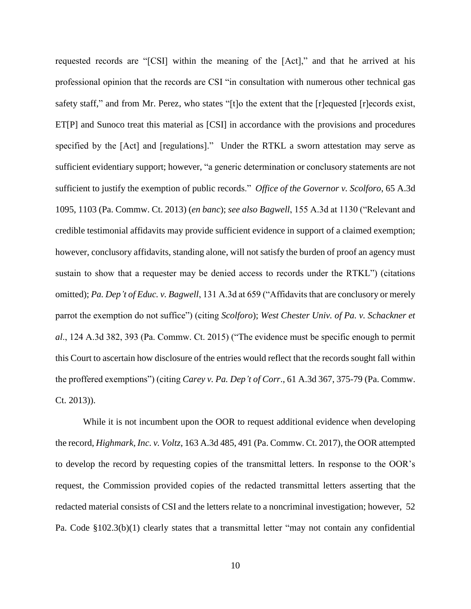requested records are "[CSI] within the meaning of the [Act]," and that he arrived at his professional opinion that the records are CSI "in consultation with numerous other technical gas safety staff," and from Mr. Perez, who states "[t]o the extent that the [r]equested [r]ecords exist, ET[P] and Sunoco treat this material as [CSI] in accordance with the provisions and procedures specified by the [Act] and [regulations]." Under the RTKL a sworn attestation may serve as sufficient evidentiary support; however, "a generic determination or conclusory statements are not sufficient to justify the exemption of public records." *Office of the Governor v. Scolforo*, 65 A.3d 1095, 1103 (Pa. Commw. Ct. 2013) (*en banc*); *see also Bagwell*, 155 A.3d at 1130 ("Relevant and credible testimonial affidavits may provide sufficient evidence in support of a claimed exemption; however, conclusory affidavits, standing alone, will not satisfy the burden of proof an agency must sustain to show that a requester may be denied access to records under the RTKL") (citations omitted); *Pa. Dep't of Educ. v. Bagwell*, 131 A.3d at 659 ("Affidavits that are conclusory or merely parrot the exemption do not suffice") (citing *Scolforo*); *West Chester Univ. of Pa. v. Schackner et al*., 124 A.3d 382, 393 (Pa. Commw. Ct. 2015) ("The evidence must be specific enough to permit this Court to ascertain how disclosure of the entries would reflect that the records sought fall within the proffered exemptions") (citing *Carey v. Pa. Dep't of Corr*., 61 A.3d 367, 375-79 (Pa. Commw. Ct. 2013)).

While it is not incumbent upon the OOR to request additional evidence when developing the record, *Highmark, Inc. v. Voltz*, 163 A.3d 485, 491 (Pa. Commw. Ct. 2017), the OOR attempted to develop the record by requesting copies of the transmittal letters. In response to the OOR's request, the Commission provided copies of the redacted transmittal letters asserting that the redacted material consists of CSI and the letters relate to a noncriminal investigation; however, 52 Pa. Code §102.3(b)(1) clearly states that a transmittal letter "may not contain any confidential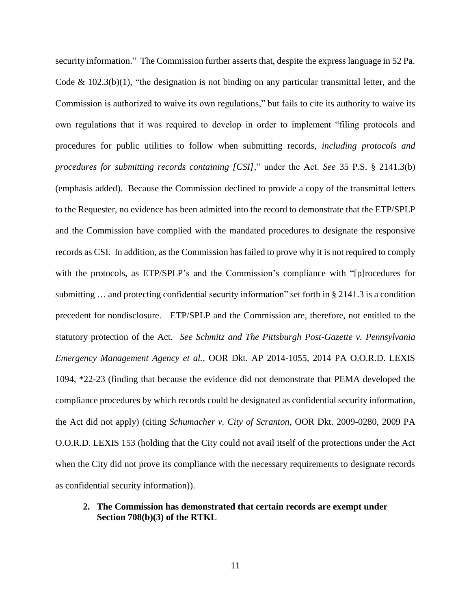security information." The Commission further asserts that, despite the express language in 52 Pa. Code  $\&$  102.3(b)(1), "the designation is not binding on any particular transmittal letter, and the Commission is authorized to waive its own regulations," but fails to cite its authority to waive its own regulations that it was required to develop in order to implement "filing protocols and procedures for public utilities to follow when submitting records, *including protocols and procedures for submitting records containing [CSI]*," under the Act. *See* 35 P.S. § 2141.3(b) (emphasis added). Because the Commission declined to provide a copy of the transmittal letters to the Requester, no evidence has been admitted into the record to demonstrate that the ETP/SPLP and the Commission have complied with the mandated procedures to designate the responsive records as CSI. In addition, as the Commission has failed to prove why it is not required to comply with the protocols, as ETP/SPLP's and the Commission's compliance with "[p]rocedures for submitting … and protecting confidential security information" set forth in § 2141.3 is a condition precedent for nondisclosure. ETP/SPLP and the Commission are, therefore, not entitled to the statutory protection of the Act. *See Schmitz and The Pittsburgh Post-Gazette v. Pennsylvania Emergency Management Agency et al.*, OOR Dkt. AP 2014-1055, 2014 PA O.O.R.D. LEXIS 1094, \*22-23 (finding that because the evidence did not demonstrate that PEMA developed the compliance procedures by which records could be designated as confidential security information, the Act did not apply) (citing *Schumacher v. City of Scranton*, OOR Dkt. 2009-0280, 2009 PA O.O.R.D. LEXIS 153 (holding that the City could not avail itself of the protections under the Act when the City did not prove its compliance with the necessary requirements to designate records as confidential security information)).

#### **2. The Commission has demonstrated that certain records are exempt under Section 708(b)(3) of the RTKL**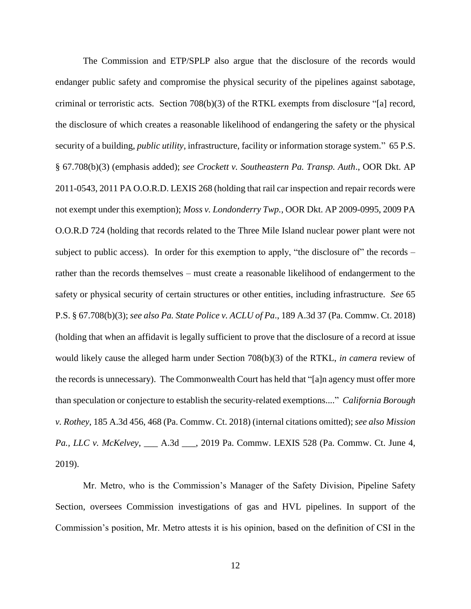The Commission and ETP/SPLP also argue that the disclosure of the records would endanger public safety and compromise the physical security of the pipelines against sabotage, criminal or terroristic acts. Section 708(b)(3) of the RTKL exempts from disclosure "[a] record, the disclosure of which creates a reasonable likelihood of endangering the safety or the physical security of a building, *public utility*, infrastructure, facility or information storage system." 65 P.S. § 67.708(b)(3) (emphasis added); *see Crockett v. Southeastern Pa. Transp. Auth*., OOR Dkt. AP 2011-0543, 2011 PA O.O.R.D. LEXIS 268 (holding that rail car inspection and repair records were not exempt under this exemption); *Moss v. Londonderry Twp.*, OOR Dkt. AP 2009-0995, 2009 PA O.O.R.D 724 (holding that records related to the Three Mile Island nuclear power plant were not subject to public access). In order for this exemption to apply, "the disclosure of" the records – rather than the records themselves – must create a reasonable likelihood of endangerment to the safety or physical security of certain structures or other entities, including infrastructure. *See* 65 P.S. § 67.708(b)(3); *see also Pa. State Police v. ACLU of Pa*., 189 A.3d 37 (Pa. Commw. Ct. 2018) (holding that when an affidavit is legally sufficient to prove that the disclosure of a record at issue would likely cause the alleged harm under Section 708(b)(3) of the RTKL, *in camera* review of the records is unnecessary). The Commonwealth Court has held that "[a]n agency must offer more than speculation or conjecture to establish the security-related exemptions...." *California Borough v. Rothey*, 185 A.3d 456, 468 (Pa. Commw. Ct. 2018) (internal citations omitted); *see also Mission Pa., LLC v. McKelvey*, \_\_\_ A.3d \_\_\_, 2019 Pa. Commw. LEXIS 528 (Pa. Commw. Ct. June 4, 2019).

Mr. Metro, who is the Commission's Manager of the Safety Division, Pipeline Safety Section, oversees Commission investigations of gas and HVL pipelines. In support of the Commission's position, Mr. Metro attests it is his opinion, based on the definition of CSI in the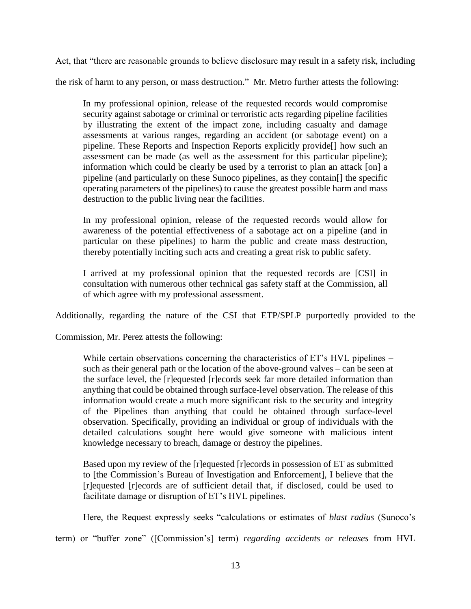Act, that "there are reasonable grounds to believe disclosure may result in a safety risk, including the risk of harm to any person, or mass destruction." Mr. Metro further attests the following:

In my professional opinion, release of the requested records would compromise security against sabotage or criminal or terroristic acts regarding pipeline facilities by illustrating the extent of the impact zone, including casualty and damage assessments at various ranges, regarding an accident (or sabotage event) on a pipeline. These Reports and Inspection Reports explicitly provide[] how such an assessment can be made (as well as the assessment for this particular pipeline); information which could be clearly be used by a terrorist to plan an attack [on]  $\alpha$ pipeline (and particularly on these Sunoco pipelines, as they contain[] the specific operating parameters of the pipelines) to cause the greatest possible harm and mass destruction to the public living near the facilities.

In my professional opinion, release of the requested records would allow for awareness of the potential effectiveness of a sabotage act on a pipeline (and in particular on these pipelines) to harm the public and create mass destruction, thereby potentially inciting such acts and creating a great risk to public safety.

I arrived at my professional opinion that the requested records are [CSI] in consultation with numerous other technical gas safety staff at the Commission, all of which agree with my professional assessment.

Additionally, regarding the nature of the CSI that ETP/SPLP purportedly provided to the

Commission, Mr. Perez attests the following:

While certain observations concerning the characteristics of ET's HVL pipelines – such as their general path or the location of the above-ground valves – can be seen at the surface level, the [r]equested [r]ecords seek far more detailed information than anything that could be obtained through surface-level observation. The release of this information would create a much more significant risk to the security and integrity of the Pipelines than anything that could be obtained through surface-level observation. Specifically, providing an individual or group of individuals with the detailed calculations sought here would give someone with malicious intent knowledge necessary to breach, damage or destroy the pipelines.

Based upon my review of the [r]equested [r]ecords in possession of ET as submitted to [the Commission's Bureau of Investigation and Enforcement], I believe that the [r]equested [r]ecords are of sufficient detail that, if disclosed, could be used to facilitate damage or disruption of ET's HVL pipelines.

Here, the Request expressly seeks "calculations or estimates of *blast radius* (Sunoco's

term) or "buffer zone" ([Commission's] term) *regarding accidents or releases* from HVL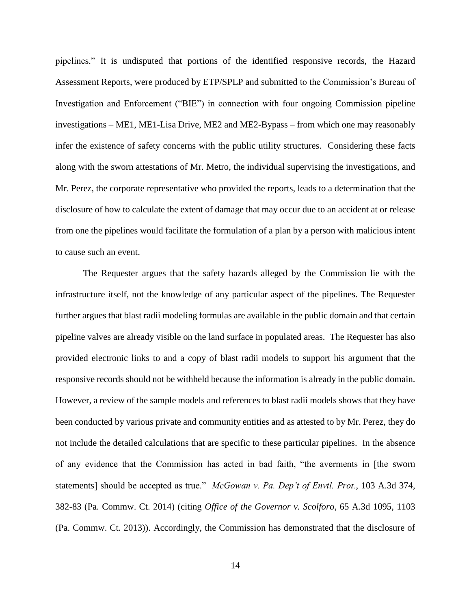pipelines." It is undisputed that portions of the identified responsive records, the Hazard Assessment Reports, were produced by ETP/SPLP and submitted to the Commission's Bureau of Investigation and Enforcement ("BIE") in connection with four ongoing Commission pipeline investigations – ME1, ME1-Lisa Drive, ME2 and ME2-Bypass – from which one may reasonably infer the existence of safety concerns with the public utility structures. Considering these facts along with the sworn attestations of Mr. Metro, the individual supervising the investigations, and Mr. Perez, the corporate representative who provided the reports, leads to a determination that the disclosure of how to calculate the extent of damage that may occur due to an accident at or release from one the pipelines would facilitate the formulation of a plan by a person with malicious intent to cause such an event.

The Requester argues that the safety hazards alleged by the Commission lie with the infrastructure itself, not the knowledge of any particular aspect of the pipelines. The Requester further argues that blast radii modeling formulas are available in the public domain and that certain pipeline valves are already visible on the land surface in populated areas. The Requester has also provided electronic links to and a copy of blast radii models to support his argument that the responsive records should not be withheld because the information is already in the public domain. However, a review of the sample models and references to blast radii models shows that they have been conducted by various private and community entities and as attested to by Mr. Perez, they do not include the detailed calculations that are specific to these particular pipelines. In the absence of any evidence that the Commission has acted in bad faith, "the averments in [the sworn statements] should be accepted as true." *McGowan v. Pa. Dep't of Envtl. Prot.*, 103 A.3d 374, 382-83 (Pa. Commw. Ct. 2014) (citing *Office of the Governor v. Scolforo*, 65 A.3d 1095, 1103 (Pa. Commw. Ct. 2013)). Accordingly, the Commission has demonstrated that the disclosure of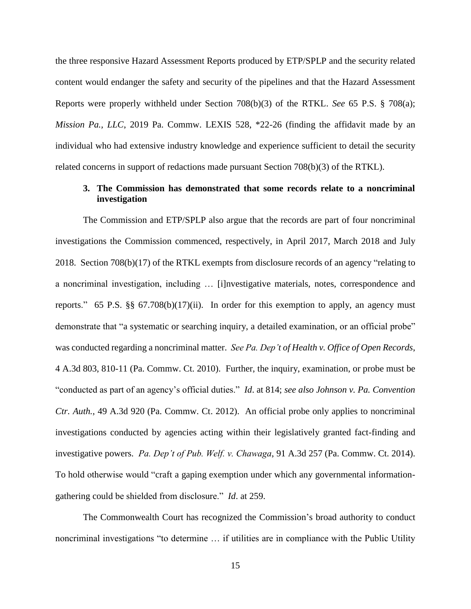the three responsive Hazard Assessment Reports produced by ETP/SPLP and the security related content would endanger the safety and security of the pipelines and that the Hazard Assessment Reports were properly withheld under Section 708(b)(3) of the RTKL. *See* 65 P.S. § 708(a); *Mission Pa., LLC*, 2019 Pa. Commw. LEXIS 528, \*22-26 (finding the affidavit made by an individual who had extensive industry knowledge and experience sufficient to detail the security related concerns in support of redactions made pursuant Section 708(b)(3) of the RTKL).

## **3. The Commission has demonstrated that some records relate to a noncriminal investigation**

The Commission and ETP/SPLP also argue that the records are part of four noncriminal investigations the Commission commenced, respectively, in April 2017, March 2018 and July 2018. Section 708(b)(17) of the RTKL exempts from disclosure records of an agency "relating to a noncriminal investigation, including … [i]nvestigative materials, notes, correspondence and reports." 65 P.S. §§ 67.708(b)(17)(ii). In order for this exemption to apply, an agency must demonstrate that "a systematic or searching inquiry, a detailed examination, or an official probe" was conducted regarding a noncriminal matter. *See Pa. Dep't of Health v. Office of Open Records*, 4 A.3d 803, 810-11 (Pa. Commw. Ct. 2010). Further, the inquiry, examination, or probe must be "conducted as part of an agency's official duties." *Id*. at 814; *see also Johnson v. Pa. Convention Ctr. Auth.*, 49 A.3d 920 (Pa. Commw. Ct. 2012). An official probe only applies to noncriminal investigations conducted by agencies acting within their legislatively granted fact-finding and investigative powers. *Pa. Dep't of Pub. Welf. v. Chawaga*, 91 A.3d 257 (Pa. Commw. Ct. 2014). To hold otherwise would "craft a gaping exemption under which any governmental informationgathering could be shielded from disclosure." *Id*. at 259.

The Commonwealth Court has recognized the Commission's broad authority to conduct noncriminal investigations "to determine … if utilities are in compliance with the Public Utility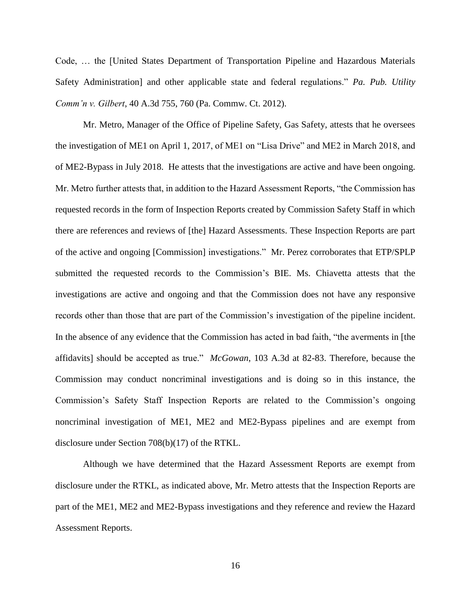Code, … the [United States Department of Transportation Pipeline and Hazardous Materials Safety Administration] and other applicable state and federal regulations." *Pa. Pub. Utility Comm'n v. Gilbert*, 40 A.3d 755, 760 (Pa. Commw. Ct. 2012).

Mr. Metro, Manager of the Office of Pipeline Safety, Gas Safety, attests that he oversees the investigation of ME1 on April 1, 2017, of ME1 on "Lisa Drive" and ME2 in March 2018, and of ME2-Bypass in July 2018. He attests that the investigations are active and have been ongoing. Mr. Metro further attests that, in addition to the Hazard Assessment Reports, "the Commission has requested records in the form of Inspection Reports created by Commission Safety Staff in which there are references and reviews of [the] Hazard Assessments. These Inspection Reports are part of the active and ongoing [Commission] investigations." Mr. Perez corroborates that ETP/SPLP submitted the requested records to the Commission's BIE. Ms. Chiavetta attests that the investigations are active and ongoing and that the Commission does not have any responsive records other than those that are part of the Commission's investigation of the pipeline incident. In the absence of any evidence that the Commission has acted in bad faith, "the averments in [the affidavits] should be accepted as true." *McGowan*, 103 A.3d at 82-83. Therefore, because the Commission may conduct noncriminal investigations and is doing so in this instance, the Commission's Safety Staff Inspection Reports are related to the Commission's ongoing noncriminal investigation of ME1, ME2 and ME2-Bypass pipelines and are exempt from disclosure under Section 708(b)(17) of the RTKL.

Although we have determined that the Hazard Assessment Reports are exempt from disclosure under the RTKL, as indicated above, Mr. Metro attests that the Inspection Reports are part of the ME1, ME2 and ME2-Bypass investigations and they reference and review the Hazard Assessment Reports.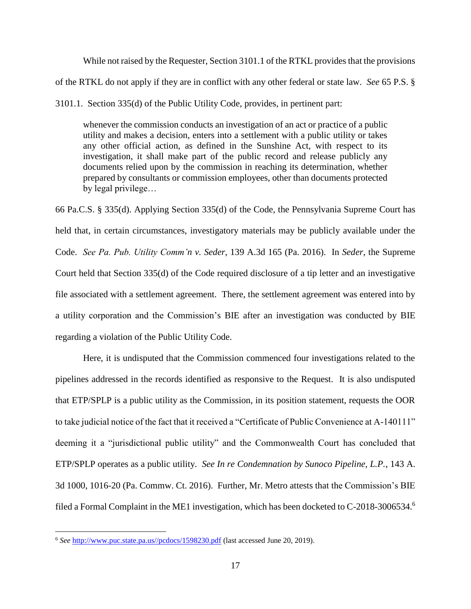While not raised by the Requester, Section 3101.1 of the RTKL provides that the provisions of the RTKL do not apply if they are in conflict with any other federal or state law. *See* 65 P.S. § 3101.1. Section 335(d) of the Public Utility Code, provides, in pertinent part:

whenever the commission conducts an investigation of an act or practice of a public utility and makes a decision, enters into a settlement with a public utility or takes any other official action, as defined in the Sunshine Act, with respect to its investigation, it shall make part of the public record and release publicly any documents relied upon by the commission in reaching its determination, whether prepared by consultants or commission employees, other than documents protected by legal privilege…

66 Pa.C.S. § 335(d). Applying Section 335(d) of the Code, the Pennsylvania Supreme Court has held that, in certain circumstances, investigatory materials may be publicly available under the Code. *See Pa. Pub. Utility Comm'n v. Seder*, 139 A.3d 165 (Pa. 2016). In *Seder*, the Supreme Court held that Section 335(d) of the Code required disclosure of a tip letter and an investigative file associated with a settlement agreement. There, the settlement agreement was entered into by a utility corporation and the Commission's BIE after an investigation was conducted by BIE regarding a violation of the Public Utility Code.

Here, it is undisputed that the Commission commenced four investigations related to the pipelines addressed in the records identified as responsive to the Request. It is also undisputed that ETP/SPLP is a public utility as the Commission, in its position statement, requests the OOR to take judicial notice of the fact that it received a "Certificate of Public Convenience at A-140111" deeming it a "jurisdictional public utility" and the Commonwealth Court has concluded that ETP/SPLP operates as a public utility. *See In re Condemnation by Sunoco Pipeline, L.P.*, 143 A. 3d 1000, 1016-20 (Pa. Commw. Ct. 2016). Further, Mr. Metro attests that the Commission's BIE filed a Formal Complaint in the ME1 investigation, which has been docketed to C-2018-3006534.<sup>6</sup>

<sup>6</sup> *See* [http://www.puc.state.pa.us//pcdocs/1598230.pdf](http://www.puc.state.pa.us/pcdocs/1598230.pdf) (last accessed June 20, 2019).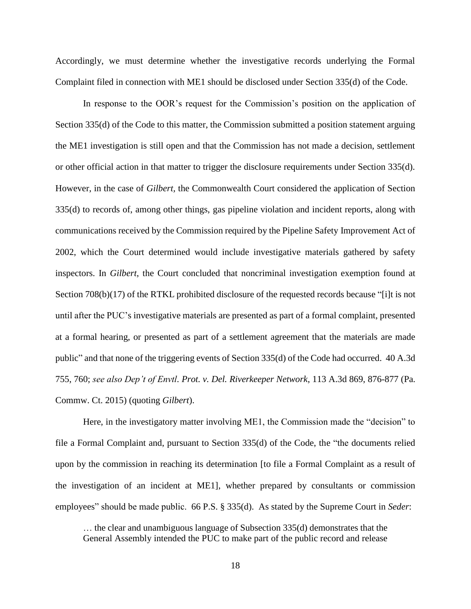Accordingly, we must determine whether the investigative records underlying the Formal Complaint filed in connection with ME1 should be disclosed under Section 335(d) of the Code.

In response to the OOR's request for the Commission's position on the application of Section 335(d) of the Code to this matter, the Commission submitted a position statement arguing the ME1 investigation is still open and that the Commission has not made a decision, settlement or other official action in that matter to trigger the disclosure requirements under Section 335(d). However, in the case of *Gilbert,* the Commonwealth Court considered the application of Section 335(d) to records of, among other things, gas pipeline violation and incident reports, along with communications received by the Commission required by the Pipeline Safety Improvement Act of 2002, which the Court determined would include investigative materials gathered by safety inspectors. In *Gilbert*, the Court concluded that noncriminal investigation exemption found at Section 708(b)(17) of the RTKL prohibited disclosure of the requested records because "[i]t is not until after the PUC's investigative materials are presented as part of a formal complaint, presented at a formal hearing, or presented as part of a settlement agreement that the materials are made public" and that none of the triggering events of Section 335(d) of the Code had occurred. 40 A.3d 755, 760; *see also Dep't of Envtl. Prot. v. Del. Riverkeeper Network*, 113 A.3d 869, 876-877 (Pa. Commw. Ct. 2015) (quoting *Gilbert*).

Here, in the investigatory matter involving ME1, the Commission made the "decision" to file a Formal Complaint and, pursuant to Section 335(d) of the Code, the "the documents relied upon by the commission in reaching its determination [to file a Formal Complaint as a result of the investigation of an incident at ME1], whether prepared by consultants or commission employees" should be made public. 66 P.S. § 335(d). As stated by the Supreme Court in *Seder*:

… the clear and unambiguous language of Subsection 335(d) demonstrates that the General Assembly intended the PUC to make part of the public record and release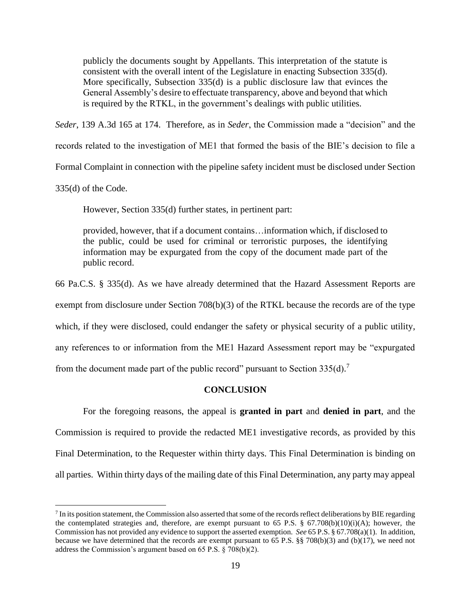publicly the documents sought by Appellants. This interpretation of the statute is consistent with the overall intent of the Legislature in enacting Subsection 335(d). More specifically, Subsection 335(d) is a public disclosure law that evinces the General Assembly's desire to effectuate transparency, above and beyond that which is required by the RTKL, in the government's dealings with public utilities.

*Seder*, 139 A.3d 165 at 174. Therefore, as in *Seder*, the Commission made a "decision" and the

records related to the investigation of ME1 that formed the basis of the BIE's decision to file a

Formal Complaint in connection with the pipeline safety incident must be disclosed under Section

335(d) of the Code.

 $\overline{a}$ 

However, Section 335(d) further states, in pertinent part:

provided, however, that if a document contains…information which, if disclosed to the public, could be used for criminal or terroristic purposes, the identifying information may be expurgated from the copy of the document made part of the public record.

66 Pa.C.S. § 335(d). As we have already determined that the Hazard Assessment Reports are

exempt from disclosure under Section 708(b)(3) of the RTKL because the records are of the type

which, if they were disclosed, could endanger the safety or physical security of a public utility,

any references to or information from the ME1 Hazard Assessment report may be "expurgated

from the document made part of the public record" pursuant to Section  $335(d)$ .<sup>7</sup>

#### **CONCLUSION**

For the foregoing reasons, the appeal is **granted in part** and **denied in part**, and the Commission is required to provide the redacted ME1 investigative records, as provided by this Final Determination, to the Requester within thirty days. This Final Determination is binding on all parties. Within thirty days of the mailing date of this Final Determination, any party may appeal

 $7$  In its position statement, the Commission also asserted that some of the records reflect deliberations by BIE regarding the contemplated strategies and, therefore, are exempt pursuant to 65 P.S. §  $67.708(b)(10)(i)(A)$ ; however, the Commission has not provided any evidence to support the asserted exemption. *See* 65 P.S. § 67.708(a)(1). In addition, because we have determined that the records are exempt pursuant to 65 P.S. §§ 708(b)(3) and (b)(17), we need not address the Commission's argument based on 65 P.S. § 708(b)(2).